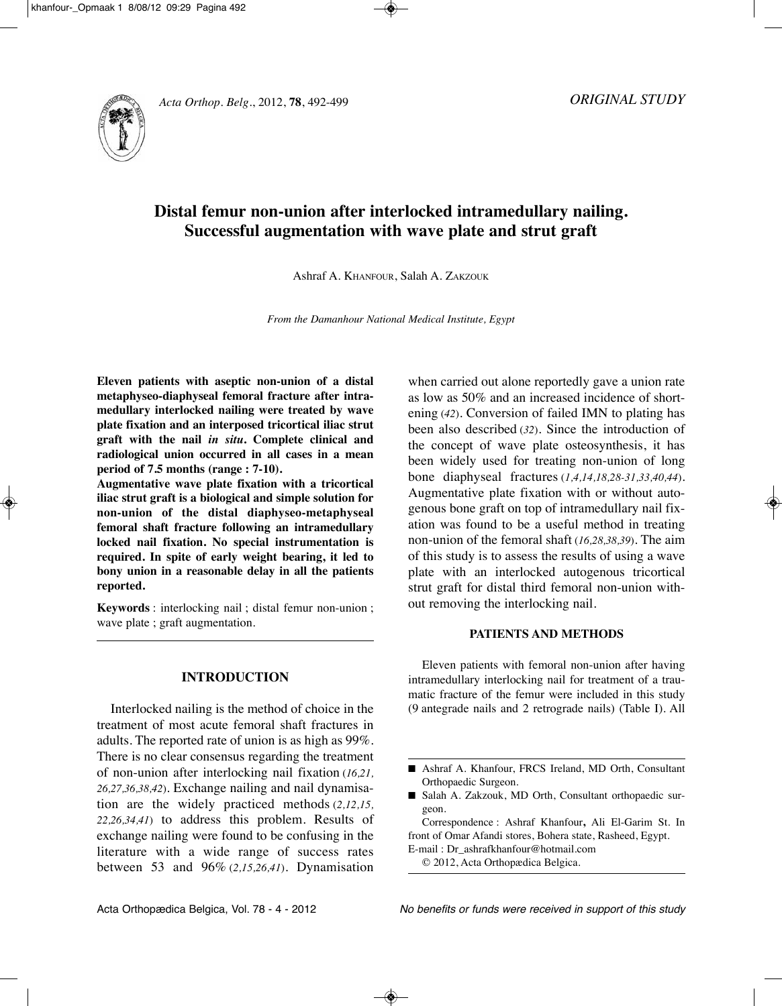



# **Distal femur non-union after interlocked intramedullary nailing. Successful augmentation with wave plate and strut graft**

Ashraf A. KhAnFOuR, Salah A. ZAKZOuK

*From the Damanhour National Medical Institute, Egypt*

**Eleven patients with aseptic non-union of a distal metaphyseo-diaphyseal femoral fracture after intramedullary interlocked nailing were treated by wave plate fixation and an interposed tricortical iliac strut graft with the nail** *in situ***. Complete clinical and radiological union occurred in all cases in a mean period of 7.5 months (range : 7-10).**

**Augmentative wave plate fixation with a tricortical iliac strut graft is a biological and simple solution for non-union of the distal diaphyseo-metaphyseal femoral shaft fracture following an intramedullary locked nail fixation. No special instrumentation is required. In spite of early weight bearing, it led to bony union in a reasonable delay in all the patients reported.**

**Keywords** : interlocking nail ; distal femur non-union ; wave plate ; graft augmentation.

# **INTRODUCTION**

Interlocked nailing is the method of choice in the treatment of most acute femoral shaft fractures in adults. The reported rate of union is as high as 99%. There is no clear consensus regarding the treatment of non-union after interlocking nail fixation (*16,21, 26,27,36,38,42*). Exchange nailing and nail dynamisation are the widely practiced methods (*2,12,15, 22,26,34,41*) to address this problem. Results of exchange nailing were found to be confusing in the literature with a wide range of success rates between 53 and 96% (*2,15,26,41*). Dynamisation when carried out alone reportedly gave a union rate as low as 50% and an increased incidence of shortening (42). Conversion of failed IMN to plating has been also described (*32*). Since the introduction of the concept of wave plate osteosynthesis, it has been widely used for treating non-union of long bone diaphyseal fractures (*1,4,14,18,28-31,33,40,44*). Augmentative plate fixation with or without autogenous bone graft on top of intramedullary nail fixation was found to be a useful method in treating non-union of the femoral shaft (*16,28,38,39*). The aim of this study is to assess the results of using a wave plate with an interlocked autogenous tricortical strut graft for distal third femoral non-union without removing the interlocking nail.

#### **PATIENTS AND METHODS**

Eleven patients with femoral non-union after having intramedullary interlocking nail for treatment of a traumatic fracture of the femur were included in this study (9 antegrade nails and 2 retrograde nails) (Table I). All

E-mail : Dr\_ashrafkhanfour@hotmail.com

© 2012, Acta Orthopædica Belgica.

<sup>■</sup> Ashraf A. Khanfour, FRCS Ireland, MD Orth, Consultant Orthopaedic Surgeon.

<sup>■</sup> Salah A. Zakzouk, MD Orth, Consultant orthopaedic surgeon.

Correspondence : Ashraf Khanfour**,** Ali El-Garim St. In front of Omar Afandi stores, Bohera state, Rasheed, Egypt.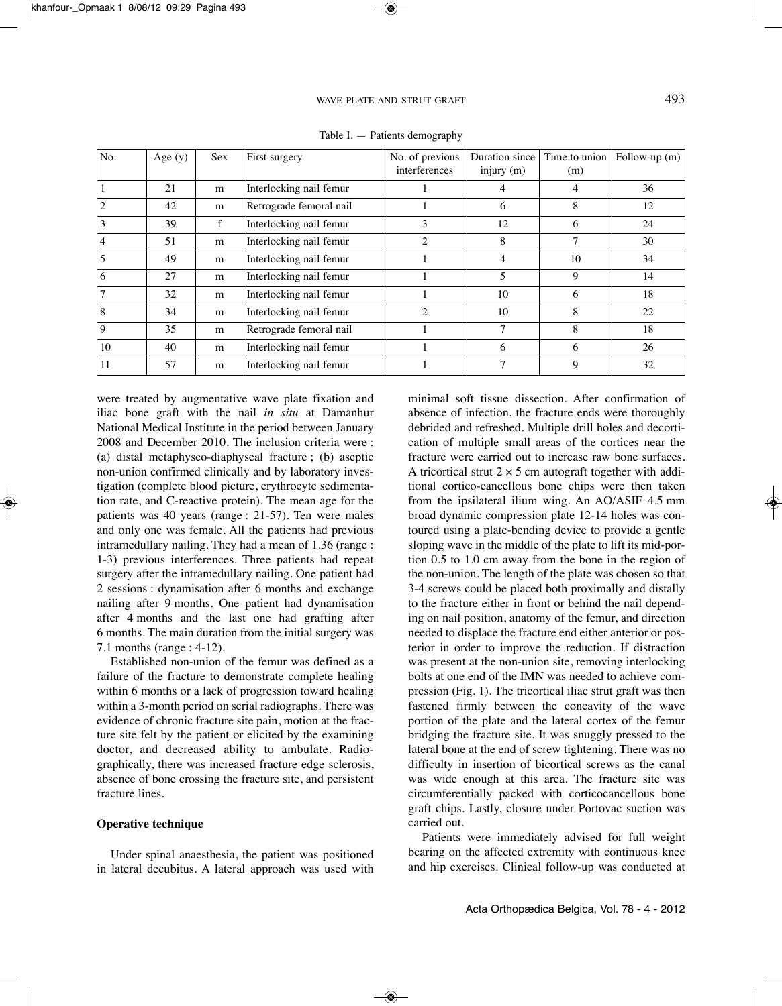| No. | Age $(y)$ | <b>Sex</b>  | First surgery           | No. of previous<br>interferences | Duration since<br>injury $(m)$ | Time to union<br>(m) | Follow-up $(m)$ |
|-----|-----------|-------------|-------------------------|----------------------------------|--------------------------------|----------------------|-----------------|
|     | 21        | m           | Interlocking nail femur |                                  |                                | 4                    | 36              |
|     | 42        | m           | Retrograde femoral nail |                                  | 6                              | 8                    | 12              |
|     | 39        | $\mathbf f$ | Interlocking nail femur | 3                                | 12                             | 6                    | 24              |
|     | 51        | m           | Interlocking nail femur | 2                                | 8                              |                      | 30              |
|     | 49        | m           | Interlocking nail femur |                                  | 4                              | 10                   | 34              |
| 6   | 27        | m           | Interlocking nail femur |                                  | 5                              | 9                    | 14              |
|     | 32        | m           | Interlocking nail femur |                                  | 10                             | 6                    | 18              |
| 8   | 34        | m           | Interlocking nail femur | $\mathcal{D}_{\mathcal{A}}$      | 10                             | 8                    | 22              |
| Q   | 35        | m           | Retrograde femoral nail |                                  | 7                              | 8                    | 18              |
| 10  | 40        | m           | Interlocking nail femur |                                  | 6                              | 6                    | 26              |
| 11  | 57        | m           | Interlocking nail femur |                                  |                                | 9                    | 32              |

Table I. — Patients demography

were treated by augmentative wave plate fixation and iliac bone graft with the nail *in situ* at Damanhur National Medical Institute in the period between January 2008 and December 2010. The inclusion criteria were : (a) distal metaphyseo-diaphyseal fracture ; (b) aseptic non-union confirmed clinically and by laboratory investigation (complete blood picture, erythrocyte sedimentation rate, and C-reactive protein). The mean age for the patients was 40 years (range : 21-57). Ten were males and only one was female. All the patients had previous intramedullary nailing. They had a mean of 1.36 (range : 1-3) previous interferences. Three patients had repeat surgery after the intramedullary nailing. One patient had 2 sessions : dynamisation after 6 months and exchange nailing after 9 months. One patient had dynamisation after 4 months and the last one had grafting after 6 months. The main duration from the initial surgery was 7.1 months (range : 4-12).

Established non-union of the femur was defined as a failure of the fracture to demonstrate complete healing within 6 months or a lack of progression toward healing within a 3-month period on serial radiographs. There was evidence of chronic fracture site pain, motion at the fracture site felt by the patient or elicited by the examining doctor, and decreased ability to ambulate. Radiographically, there was increased fracture edge sclerosis, absence of bone crossing the fracture site, and persistent fracture lines.

### **Operative technique**

Under spinal anaesthesia, the patient was positioned in lateral decubitus. A lateral approach was used with minimal soft tissue dissection. After confirmation of absence of infection, the fracture ends were thoroughly debrided and refreshed. Multiple drill holes and decortication of multiple small areas of the cortices near the fracture were carried out to increase raw bone surfaces. A tricortical strut  $2 \times 5$  cm autograft together with additional cortico-cancellous bone chips were then taken from the ipsilateral ilium wing. An AO/ASIF 4.5 mm broad dynamic compression plate 12-14 holes was contoured using a plate-bending device to provide a gentle sloping wave in the middle of the plate to lift its mid-portion 0.5 to 1.0 cm away from the bone in the region of the non-union. The length of the plate was chosen so that 3-4 screws could be placed both proximally and distally to the fracture either in front or behind the nail depending on nail position, anatomy of the femur, and direction needed to displace the fracture end either anterior or posterior in order to improve the reduction. If distraction was present at the non-union site, removing interlocking bolts at one end of the IMN was needed to achieve compression (Fig. 1). The tricortical iliac strut graft was then fastened firmly between the concavity of the wave portion of the plate and the lateral cortex of the femur bridging the fracture site. It was snuggly pressed to the lateral bone at the end of screw tightening. There was no difficulty in insertion of bicortical screws as the canal was wide enough at this area. The fracture site was circumferentially packed with corticocancellous bone graft chips. Lastly, closure under Portovac suction was carried out.

Patients were immediately advised for full weight bearing on the affected extremity with continuous knee and hip exercises. Clinical follow-up was conducted at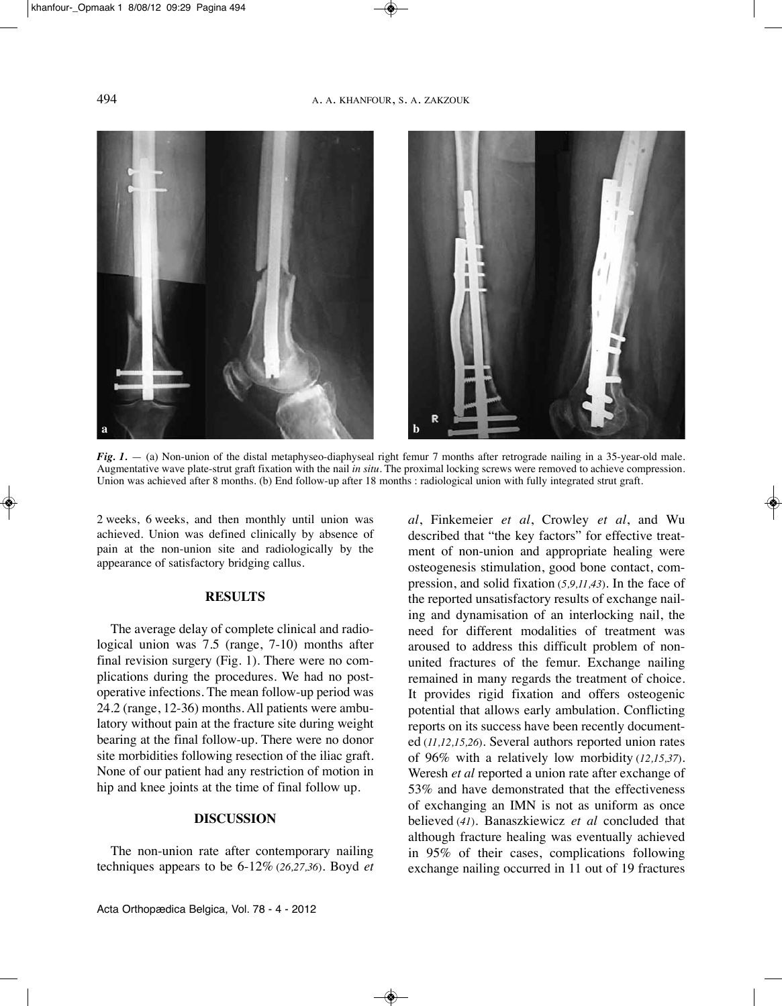

*Fig. 1.* — (a) Non-union of the distal metaphyseo-diaphyseal right femur 7 months after retrograde nailing in a 35-year-old male. Augmentative wave plate-strut graft fixation with the nail *in situ.* The proximal locking screws were removed to achieve compression. Union was achieved after 8 months. (b) End follow-up after 18 months : radiological union with fully integrated strut graft.

2 weeks, 6 weeks, and then monthly until union was achieved. Union was defined clinically by absence of pain at the non-union site and radiologically by the appearance of satisfactory bridging callus.

#### **RESULTS**

The average delay of complete clinical and radiological union was 7.5 (range, 7-10) months after final revision surgery (Fig. 1). There were no complications during the procedures. we had no postoperative infections. The mean follow-up period was 24.2 (range, 12-36) months. All patients were ambulatory without pain at the fracture site during weight bearing at the final follow-up. There were no donor site morbidities following resection of the iliac graft. None of our patient had any restriction of motion in hip and knee joints at the time of final follow up.

## **DISCUSSION**

The non-union rate after contemporary nailing techniques appears to be 6-12% (*26,27,36*). Boyd *et* *al*, Finkemeier *et al*, Crowley *et al*, and wu described that "the key factors" for effective treatment of non-union and appropriate healing were osteogenesis stimulation, good bone contact, compression, and solid fixation (*5,9,11,43*). In the face of the reported unsatisfactory results of exchange nailing and dynamisation of an interlocking nail, the need for different modalities of treatment was aroused to address this difficult problem of nonunited fractures of the femur. Exchange nailing remained in many regards the treatment of choice. It provides rigid fixation and offers osteogenic potential that allows early ambulation. Conflicting reports on its success have been recently documented (*11,12,15,26*). Several authors reported union rates of 96% with a relatively low morbidity (*12,15,37*). weresh *et al* reported a union rate after exchange of 53% and have demonstrated that the effectiveness of exchanging an IMn is not as uniform as once believed (*41*). Banaszkiewicz *et al* concluded that although fracture healing was eventually achieved in 95% of their cases, complications following exchange nailing occurred in 11 out of 19 fractures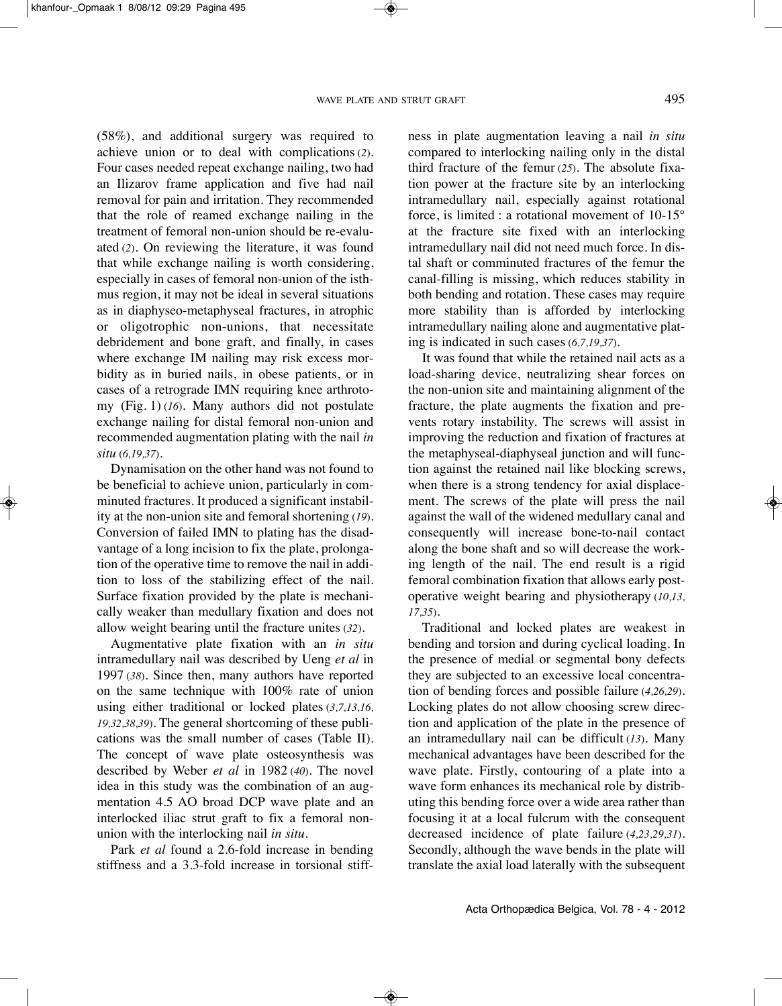(58%), and additional surgery was required to achieve union or to deal with complications (*2*). Four cases needed repeat exchange nailing, two had an Ilizarov frame application and five had nail removal for pain and irritation. They recommended that the role of reamed exchange nailing in the treatment of femoral non-union should be re-evaluated (*2*). On reviewing the literature, it was found that while exchange nailing is worth considering, especially in cases of femoral non-union of the isthmus region, it may not be ideal in several situations as in diaphyseo-metaphyseal fractures, in atrophic or oligotrophic non-unions, that necessitate debridement and bone graft, and finally, in cases where exchange IM nailing may risk excess morbidity as in buried nails, in obese patients, or in cases of a retrograde IMN requiring knee arthrotomy (Fig. 1) (*16*). Many authors did not postulate exchange nailing for distal femoral non-union and recommended augmentation plating with the nail *in situ* (*6,19,37*).

Dynamisation on the other hand was not found to be beneficial to achieve union, particularly in comminuted fractures. It produced a significant instability at the non-union site and femoral shortening (*19*). Conversion of failed IMn to plating has the disadvantage of a long incision to fix the plate, prolongation of the operative time to remove the nail in addition to loss of the stabilizing effect of the nail. Surface fixation provided by the plate is mechanically weaker than medullary fixation and does not allow weight bearing until the fracture unites (*32*).

Augmentative plate fixation with an *in situ* intramedullary nail was described by Ueng et al in 1997 (*38*). Since then, many authors have reported on the same technique with 100% rate of union using either traditional or locked plates (*3,7,13,16, 19,32,38,39*). The general shortcoming of these publications was the small number of cases (Table II). The concept of wave plate osteosynthesis was described by weber *et al* in 1982 (*40*). The novel idea in this study was the combination of an augmentation 4.5 AO broad DCP wave plate and an interlocked iliac strut graft to fix a femoral nonunion with the interlocking nail *in situ.*

Park *et al* found a 2.6-fold increase in bending stiffness and a 3.3-fold increase in torsional stiffness in plate augmentation leaving a nail *in situ* compared to interlocking nailing only in the distal third fracture of the femur (*25*). The absolute fixation power at the fracture site by an interlocking intramedullary nail, especially against rotational force, is limited : a rotational movement of 10-15° at the fracture site fixed with an interlocking intramedullary nail did not need much force. In distal shaft or comminuted fractures of the femur the canal-filling is missing, which reduces stability in both bending and rotation. These cases may require more stability than is afforded by interlocking intramedullary nailing alone and augmentative plating is indicated in such cases (*6,7,19,37*).

It was found that while the retained nail acts as a load-sharing device, neutralizing shear forces on the non-union site and maintaining alignment of the fracture, the plate augments the fixation and prevents rotary instability. The screws will assist in improving the reduction and fixation of fractures at the metaphyseal-diaphyseal junction and will function against the retained nail like blocking screws, when there is a strong tendency for axial displacement. The screws of the plate will press the nail against the wall of the widened medullary canal and consequently will increase bone-to-nail contact along the bone shaft and so will decrease the working length of the nail. The end result is a rigid femoral combination fixation that allows early postoperative weight bearing and physiotherapy (*10,13, 17,35*).

Traditional and locked plates are weakest in bending and torsion and during cyclical loading. In the presence of medial or segmental bony defects they are subjected to an excessive local concentration of bending forces and possible failure (*4,26,29*). Locking plates do not allow choosing screw direction and application of the plate in the presence of an intramedullary nail can be difficult (*13*). Many mechanical advantages have been described for the wave plate. Firstly, contouring of a plate into a wave form enhances its mechanical role by distributing this bending force over a wide area rather than focusing it at a local fulcrum with the consequent decreased incidence of plate failure (*4,23,29,31*). Secondly, although the wave bends in the plate will translate the axial load laterally with the subsequent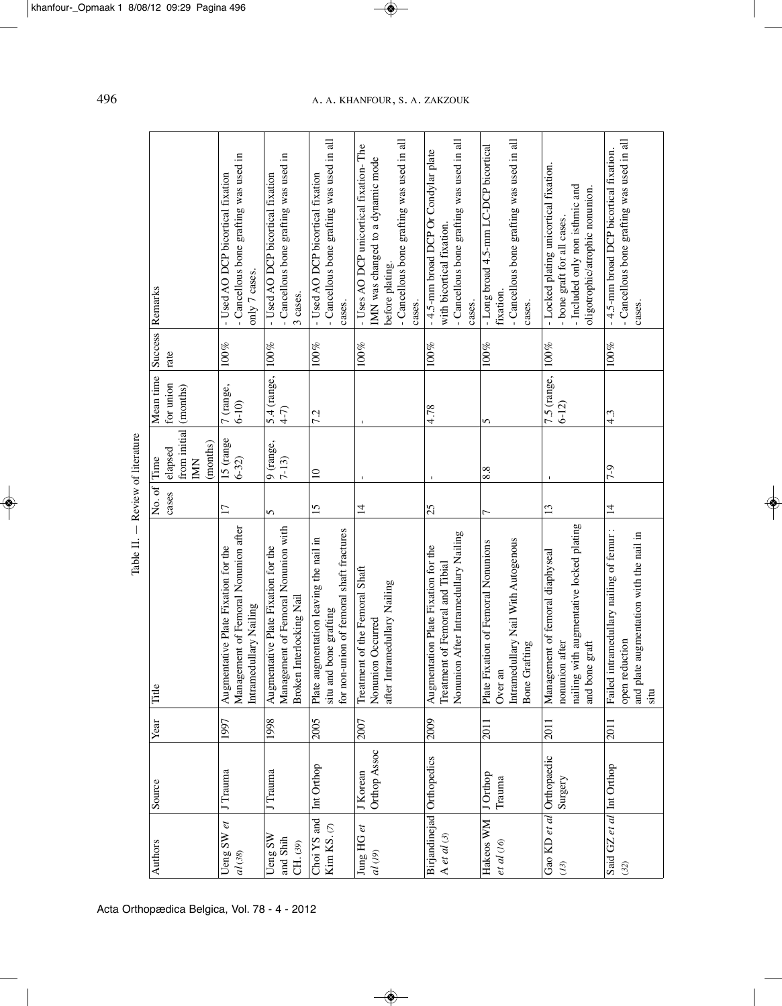| literature<br>a |
|-----------------|
| ō               |
| Review          |
|                 |
| $\blacksquare$  |
| Table           |

| Success Remarks                                   | - Cancellous bone grafting was used in<br>- Used AO DCP bicortical fixation<br>only 7 cases.          | - Cancellous bone grafting was used in<br>- Used AO DCP bicortical fixation<br>3 cases.                | - Cancellous bone grafting was used in all<br>- Used AO DCP bicortical fixation<br>cases.                    | -Cancellous bone grafting was used in all<br>- Uses AO DCP unicortical fixation-The<br>IMN was changed to a dynamic mode<br>before plating.<br>cases. | - Cancellous bone grafting was used in all<br>-4.5-mm broad DCP Or Condylar plate<br>with bicortical fixation<br>cases. | - Cancellous bone grafting was used in all<br>- Long broad 4.5-mm LC-DCP bicortical<br>fixation<br>cases.           | - Locked plating unicortical fixation.<br>- Included only non isthmic and<br>oligotrophic/atrophic nonunion.<br>- bone graft for all cases. | - Cancellous bone grafting was used in all<br>-4.5-mm broad DCP bicortical fixation.<br>cases.                              |
|---------------------------------------------------|-------------------------------------------------------------------------------------------------------|--------------------------------------------------------------------------------------------------------|--------------------------------------------------------------------------------------------------------------|-------------------------------------------------------------------------------------------------------------------------------------------------------|-------------------------------------------------------------------------------------------------------------------------|---------------------------------------------------------------------------------------------------------------------|---------------------------------------------------------------------------------------------------------------------------------------------|-----------------------------------------------------------------------------------------------------------------------------|
| rate                                              | 100%                                                                                                  | $100\%$                                                                                                | $100\%$                                                                                                      | 100%                                                                                                                                                  | 100%                                                                                                                    | 100%                                                                                                                |                                                                                                                                             | 100%                                                                                                                        |
| Mean time<br>for union<br>(months)                | 7 (range,<br>$6 - 10$                                                                                 | 5.4 (range,<br>$4-7$                                                                                   | 7.2                                                                                                          |                                                                                                                                                       | 4.78                                                                                                                    | 5                                                                                                                   | 7.5 (range, 100%<br>$6 - 12$                                                                                                                | 4.3                                                                                                                         |
| from initial<br>(months)<br>elapsed<br><b>NIX</b> | 15 (range<br>$6 - 32$                                                                                 | $\frac{9 \text{ (range)}}{7-13}$                                                                       | $\supseteq$                                                                                                  |                                                                                                                                                       |                                                                                                                         | 8.8                                                                                                                 |                                                                                                                                             | 7-9                                                                                                                         |
| No. of Time<br>cases                              | $\overline{17}$                                                                                       | 5                                                                                                      | 15                                                                                                           | $\vec{4}$                                                                                                                                             | 25                                                                                                                      | 7                                                                                                                   | $\overline{13}$                                                                                                                             | $\overline{4}$                                                                                                              |
| Title                                             | Management of Femoral Nonunion after<br>Augmentative Plate Fixation for the<br>Intramedullary Nailing | Management of Femoral Nonunion with<br>Augmentative Plate Fixation for the<br>Broken Interlocking Nail | for non-union of femoral shaft fractures<br>Plate augmentation leaving the nail in<br>situ and bone grafting | Treatment of the Femoral Shaft<br>Intramedullary Nailing<br>Nonunion Occurred<br>after I                                                              | Nonunion After Intramedullary Nailing<br>Augmentation Plate Fixation for the<br>Treatment of Femoral and Tibial         | Intramedullary Nail With Autogenous<br>Fixation of Femoral Nonunions<br><b>Bone Grafting</b><br>E<br>Over:<br>Plate | nailing with augmentative locked plating<br>Management of femoral diaphyseal<br>nonunion after<br>and bone graft                            | Failed intramedullary nailing of femur:<br>and plate augmentation with the nail in<br>eduction<br>open <sub>1</sub><br>situ |
| Year                                              | 1997                                                                                                  | 1998                                                                                                   | 2005                                                                                                         | 2007                                                                                                                                                  | 2009                                                                                                                    | <b>2011</b>                                                                                                         | 2011                                                                                                                                        | 2011                                                                                                                        |
| Source                                            | J Trauma                                                                                              | J Trauma                                                                                               | Int Orthop                                                                                                   | Orthop Assoc<br>J Korean                                                                                                                              |                                                                                                                         | J Orthop<br><b>Trauma</b>                                                                                           | Surgery                                                                                                                                     |                                                                                                                             |
| Authors                                           | Ueng SW $et$<br>$dl(38)$                                                                              | Ueng SW<br>and Shih<br>CH.(39)                                                                         | Choi YS and<br>Kim KS. $(7)$                                                                                 | Jung HG et<br>al(19)                                                                                                                                  | Birjandinejad Orthopedics<br>A et al $(3)$                                                                              | Hakeos WM<br>et al (16)                                                                                             | Gao KD et al Orthopaedic<br>$(13)$                                                                                                          | Said GZ et al Int Orthop<br>(32)                                                                                            |

496 A. A. KhAnFOuR, S. A. ZAKZOuK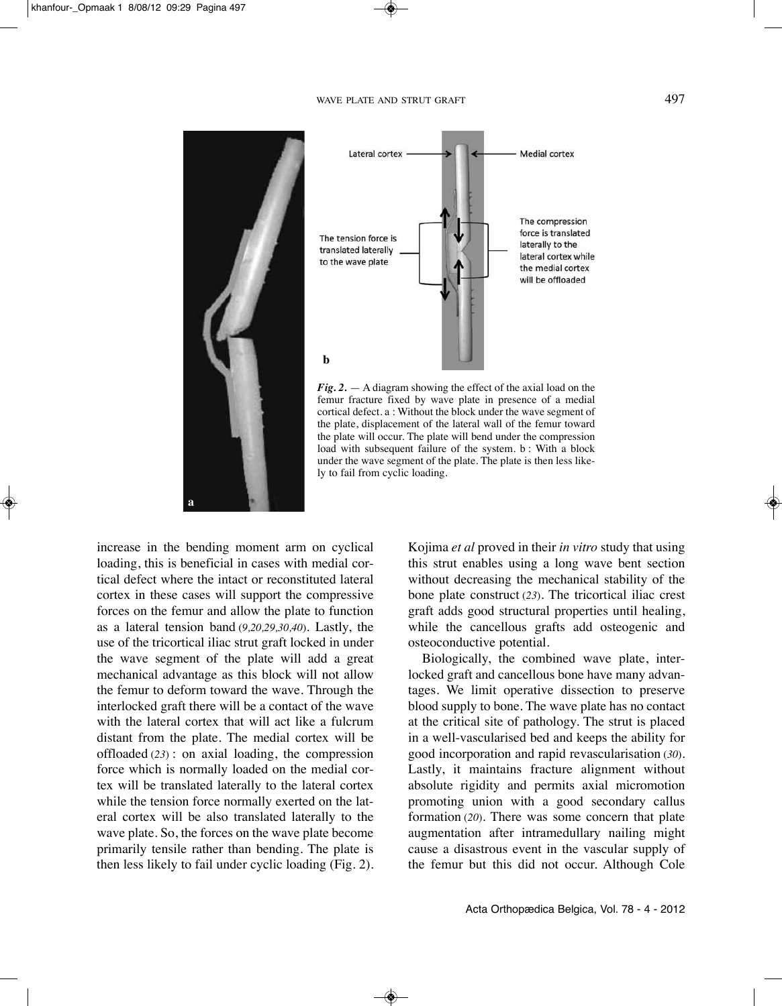



*Fig. 2.* — A diagram showing the effect of the axial load on the femur fracture fixed by wave plate in presence of a medial cortical defect. a : without the block under the wave segment of the plate, displacement of the lateral wall of the femur toward the plate will occur. The plate will bend under the compression load with subsequent failure of the system. b : With a block under the wave segment of the plate. The plate is then less likely to fail from cyclic loading.

increase in the bending moment arm on cyclical loading, this is beneficial in cases with medial cortical defect where the intact or reconstituted lateral cortex in these cases will support the compressive forces on the femur and allow the plate to function as a lateral tension band (*9,20,29,30,40*). Lastly, the use of the tricortical iliac strut graft locked in under the wave segment of the plate will add a great mechanical advantage as this block will not allow the femur to deform toward the wave. Through the interlocked graft there will be a contact of the wave with the lateral cortex that will act like a fulcrum distant from the plate. The medial cortex will be offloaded (*23*) : on axial loading, the compression force which is normally loaded on the medial cortex will be translated laterally to the lateral cortex while the tension force normally exerted on the lateral cortex will be also translated laterally to the wave plate. So, the forces on the wave plate become primarily tensile rather than bending. The plate is then less likely to fail under cyclic loading (Fig. 2). Kojima *et al* proved in their *in vitro* study that using this strut enables using a long wave bent section without decreasing the mechanical stability of the bone plate construct (*23*). The tricortical iliac crest graft adds good structural properties until healing, while the cancellous grafts add osteogenic and osteoconductive potential.

Biologically, the combined wave plate, interlocked graft and cancellous bone have many advantages. we limit operative dissection to preserve blood supply to bone. The wave plate has no contact at the critical site of pathology. The strut is placed in a well-vascularised bed and keeps the ability for good incorporation and rapid revascularisation (*30*). Lastly, it maintains fracture alignment without absolute rigidity and permits axial micromotion promoting union with a good secondary callus formation (*20*). There was some concern that plate augmentation after intramedullary nailing might cause a disastrous event in the vascular supply of the femur but this did not occur. Although Cole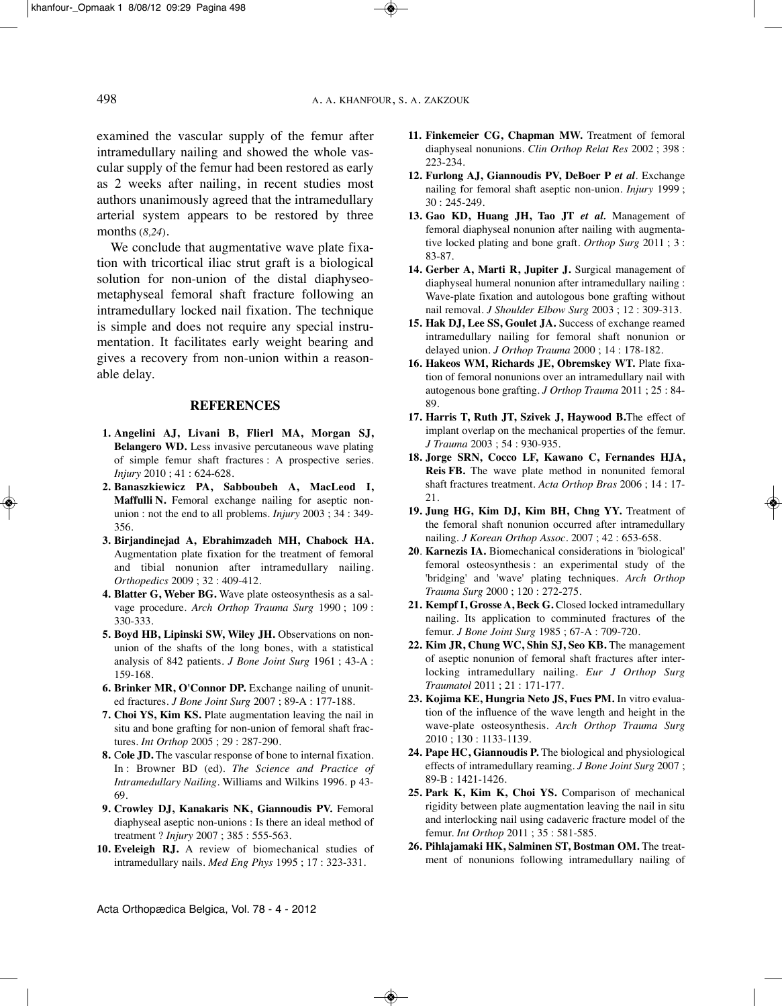examined the vascular supply of the femur after intramedullary nailing and showed the whole vascular supply of the femur had been restored as early as 2 weeks after nailing, in recent studies most authors unanimously agreed that the intramedullary arterial system appears to be restored by three months (*8,24*).

We conclude that augmentative wave plate fixation with tricortical iliac strut graft is a biological solution for non-union of the distal diaphyseometaphyseal femoral shaft fracture following an intramedullary locked nail fixation. The technique is simple and does not require any special instrumentation. It facilitates early weight bearing and gives a recovery from non-union within a reasonable delay.

### **REFERENCES**

- **1. Angelini AJ, Livani B, Flierl MA, Morgan SJ, Belangero WD.** Less invasive percutaneous wave plating of simple femur shaft fractures : A prospective series. *Injury* 2010 ; 41 : 624-628.
- **2. Banaszkiewicz PA, Sabboubeh A, MacLeod I, Maffulli N.** Femoral exchange nailing for aseptic nonunion : not the end to all problems. *Injury* 2003 ; 34 : 349- 356.
- **3. Birjandinejad A, Ebrahimzadeh MH, Chabock HA.** Augmentation plate fixation for the treatment of femoral and tibial nonunion after intramedullary nailing. *Orthopedics* 2009 ; 32 : 409-412.
- **4. Blatter G, Weber BG.** wave plate osteosynthesis as a salvage procedure. *Arch Orthop Trauma Surg* 1990 ; 109 : 330-333.
- **5. Boyd HB, Lipinski SW, Wiley JH.** Observations on nonunion of the shafts of the long bones, with a statistical analysis of 842 patients. *J Bone Joint Surg* 1961 ; 43-A : 159-168.
- **6. Brinker MR, O'Connor DP.** Exchange nailing of ununited fractures. *J Bone Joint Surg* 2007 ; 89-A : 177-188.
- **7. Choi YS, Kim KS.** Plate augmentation leaving the nail in situ and bone grafting for non-union of femoral shaft fractures. *Int Orthop* 2005 ; 29 : 287-290.
- **8.** C**ole JD.** The vascular response of bone to internal fixation. In : Browner BD (ed). *The Science and Practice of Intramedullary Nailing*. williams and wilkins 1996. p 43- 69.
- **9. Crowley DJ, Kanakaris NK, Giannoudis PV.** Femoral diaphyseal aseptic non-unions : Is there an ideal method of treatment ? *Injury* 2007 ; 385 : 555-563.
- **10. Eveleigh RJ.** A review of biomechanical studies of intramedullary nails. *Med Eng Phys* 1995 ; 17 : 323-331.
- **11. Finkemeier CG, Chapman MW.** Treatment of femoral diaphyseal nonunions. *Clin Orthop Relat Res* 2002 ; 398 : 223-234.
- **12. Furlong AJ, Giannoudis PV, DeBoer P** *et al.* Exchange nailing for femoral shaft aseptic non-union. *Injury* 1999 ; 30 : 245-249.
- **13. Gao KD, Huang JH, Tao JT** *et al.* Management of femoral diaphyseal nonunion after nailing with augmentative locked plating and bone graft. *Orthop Surg* 2011 ; 3 : 83-87.
- **14. Gerber A, Marti R, Jupiter J.** Surgical management of diaphyseal humeral nonunion after intramedullary nailing : wave-plate fixation and autologous bone grafting without nail removal. *J Shoulder Elbow Surg* 2003 ; 12 : 309-313.
- **15. Hak DJ, Lee SS, Goulet JA.** Success of exchange reamed intramedullary nailing for femoral shaft nonunion or delayed union. *J Orthop Trauma* 2000 ; 14 : 178-182.
- **16. Hakeos WM, Richards JE, Obremskey WT.** Plate fixation of femoral nonunions over an intramedullary nail with autogenous bone grafting. *J Orthop Trauma* 2011 ; 25 : 84- 89.
- **17. Harris T, Ruth JT, Szivek J, Haywood B.**The effect of implant overlap on the mechanical properties of the femur. *J Trauma* 2003 ; 54 : 930-935.
- **18. Jorge SRN, Cocco LF, Kawano C, Fernandes HJA, Reis FB.** The wave plate method in nonunited femoral shaft fractures treatment. *Acta Orthop Bras* 2006 ; 14 : 17- 21.
- **19. Jung HG, Kim DJ, Kim BH, Chng YY.** Treatment of the femoral shaft nonunion occurred after intramedullary nailing. *J Korean Orthop Assoc*. 2007 ; 42 : 653-658.
- **20**. **Karnezis IA.** Biomechanical considerations in 'biological' femoral osteosynthesis : an experimental study of the 'bridging' and 'wave' plating techniques. *Arch Orthop Trauma Surg* 2000 ; 120 : 272-275.
- **21. Kempf I, Grosse A, Beck G.** Closed locked intramedullary nailing. Its application to comminuted fractures of the femur. *J Bone Joint Surg* 1985 ; 67-A : 709-720.
- **22. Kim JR, Chung WC, Shin SJ, Seo KB.** The management of aseptic nonunion of femoral shaft fractures after interlocking intramedullary nailing. *Eur J Orthop Surg Traumatol* 2011 ; 21 : 171-177.
- **23. Kojima KE, Hungria Neto JS, Fucs PM.** In vitro evaluation of the influence of the wave length and height in the wave-plate osteosynthesis. *Arch Orthop Trauma Surg* 2010 ; 130 : 1133-1139.
- **24. Pape HC, Giannoudis P.** The biological and physiological effects of intramedullary reaming. *J Bone Joint Surg* 2007 ; 89-B : 1421-1426.
- **25. Park K, Kim K, Choi YS.** Comparison of mechanical rigidity between plate augmentation leaving the nail in situ and interlocking nail using cadaveric fracture model of the femur. *Int Orthop* 2011 ; 35 : 581-585.
- **26. Pihlajamaki HK, Salminen ST, Bostman OM.** The treatment of nonunions following intramedullary nailing of